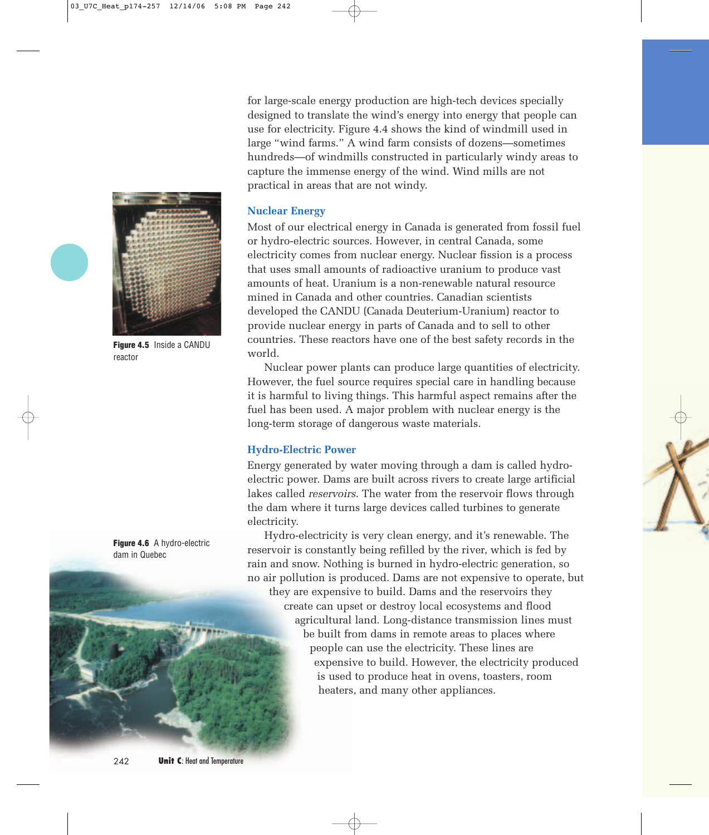for large-scale energy production are high-tech devices specially designed to translate the wind's energy into energy that people can use for electricity. Figure 4.4 shows the kind of windmill used in large "wind farms." A wind farm consists of dozens—sometimes hundreds—of windmills constructed in particularly windy areas to capture the immense energy of the wind. Wind mills are not practical in areas that are not windy.

### **Nuclear Energy**

Most of our electrical energy in Canada is generated from fossil fuel or hydro-electric sources. However, in central Canada, some electricity comes from nuclear energy. Nuclear fission is a process that uses small amounts of radioactive uranium to produce vast amounts of heat. Uranium is a non-renewable natural resource mined in Canada and other countries. Canadian scientists developed the CANDU (Canada Deuterium-Uranium) reactor to provide nuclear energy in parts of Canada and to sell to other countries. These reactors have one of the best safety records in the world.

Nuclear power plants can produce large quantities of electricity. However, the fuel source requires special care in handling because it is harmful to living things. This harmful aspect remains after the fuel has been used. A major problem with nuclear energy is the long-term storage of dangerous waste materials.

### **Hydro-Electric Power**

Energy generated by water moving through a dam is called hydroelectric power. Dams are built across rivers to create large artificial lakes called *reservoirs*. The water from the reservoir flows through the dam where it turns large devices called turbines to generate electricity.

Hydro-electricity is very clean energy, and it's renewable. The reservoir is constantly being refilled by the river, which is fed by rain and snow. Nothing is burned in hydro-electric generation, so no air pollution is produced. Dams are not expensive to operate, but

they are expensive to build. Dams and the reservoirs they create can upset or destroy local ecosystems and flood agricultural land. Long-distance transmission lines must be built from dams in remote areas to places where people can use the electricity. These lines are expensive to build. However, the electricity produced is used to produce heat in ovens, toasters, room heaters, and many other appliances.



**Figure 4.5** Inside a CANDU reactor

**Figure 4.6** A hydro-electric dam in Quebec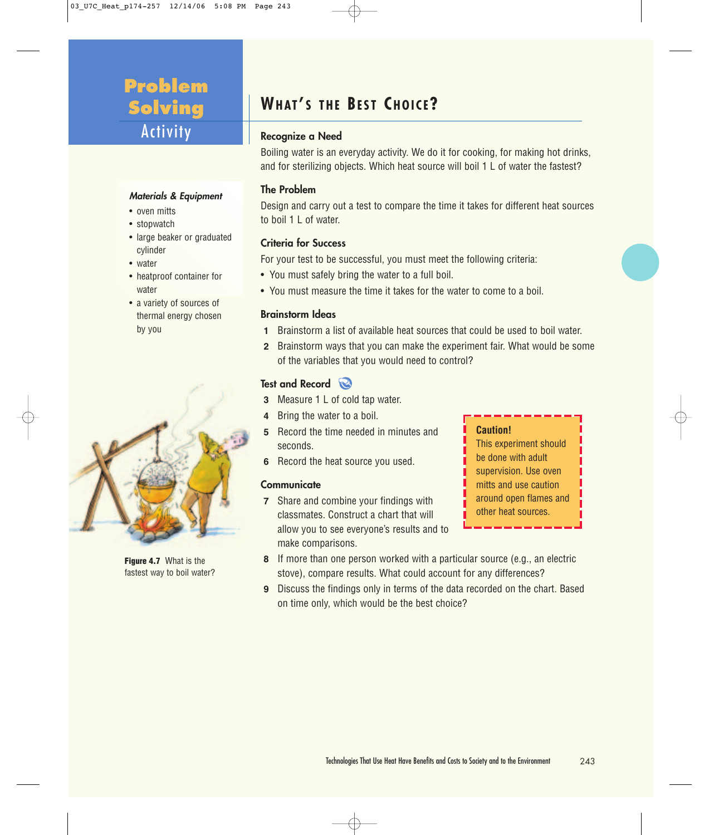# **Problem Solving** Activity

### **Materials & Equipment**

- oven mitts
- stopwatch
- large beaker or graduated cylinder
- water
- heatproof container for water
- a variety of sources of thermal energy chosen by you



**Figure 4.7** What is the fastest way to boil water?

# **WHAT ' S THE BEST CHOICE?**

### **Recognize a Need**

Boiling water is an everyday activity. We do it for cooking, for making hot drinks, and for sterilizing objects. Which heat source will boil 1 L of water the fastest?

### **The Problem**

Design and carry out a test to compare the time it takes for different heat sources to boil 1 L of water.

### **Criteria for Success**

For your test to be successful, you must meet the following criteria:

- You must safely bring the water to a full boil.
- You must measure the time it takes for the water to come to a boil.

### **Brainstorm Ideas**

- **1** Brainstorm a list of available heat sources that could be used to boil water.
- **2** Brainstorm ways that you can make the experiment fair. What would be some of the variables that you would need to control?

### **Test and Record**

- **3** Measure 1 L of cold tap water.
- **4** Bring the water to a boil.
- **5** Record the time needed in minutes and seconds.
- **6** Record the heat source you used.

### **Communicate**

**7** Share and combine your findings with classmates. Construct a chart that will allow you to see everyone's results and to make comparisons.



- **8** If more than one person worked with a particular source (e.g., an electric stove), compare results. What could account for any differences?
- **9** Discuss the findings only in terms of the data recorded on the chart. Based on time only, which would be the best choice?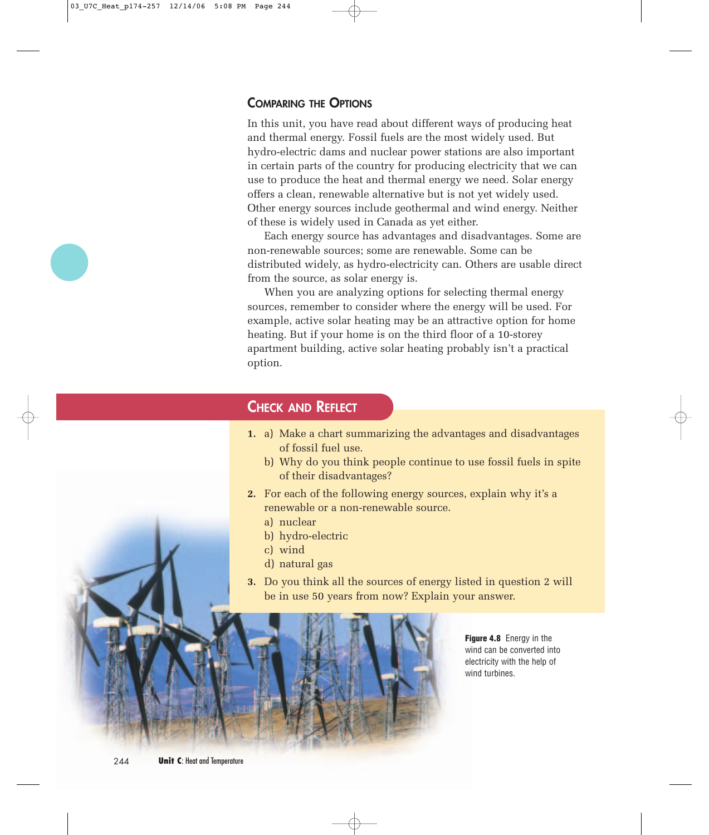### **COMPARING THE OPTIONS**

In this unit, you have read about different ways of producing heat and thermal energy. Fossil fuels are the most widely used. But hydro-electric dams and nuclear power stations are also important in certain parts of the country for producing electricity that we can use to produce the heat and thermal energy we need. Solar energy offers a clean, renewable alternative but is not yet widely used. Other energy sources include geothermal and wind energy. Neither of these is widely used in Canada as yet either.

Each energy source has advantages and disadvantages. Some are non-renewable sources; some are renewable. Some can be distributed widely, as hydro-electricity can. Others are usable direct from the source, as solar energy is.

When you are analyzing options for selecting thermal energy sources, remember to consider where the energy will be used. For example, active solar heating may be an attractive option for home heating. But if your home is on the third floor of a 10-storey apartment building, active solar heating probably isn't a practical option.

## **CHECK AND REFLECT**

- **1.** a) Make a chart summarizing the advantages and disadvantages of fossil fuel use.
	- b) Why do you think people continue to use fossil fuels in spite of their disadvantages?
- **2.** For each of the following energy sources, explain why it's a renewable or a non-renewable source.
	- a) nuclear
	- b) hydro-electric
	- c) wind
	- d) natural gas
- **3.** Do you think all the sources of energy listed in question 2 will be in use 50 years from now? Explain your answer.



**Figure 4.8** Energy in the wind can be converted into electricity with the help of wind turbines.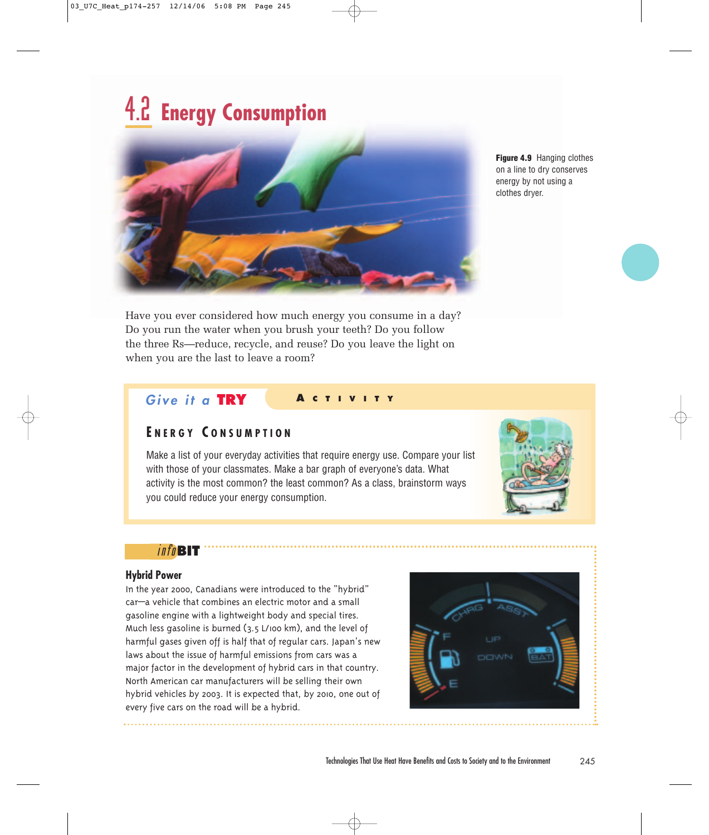# 4.2 **Energy Consumption**



**Figure 4.9** Hanging clothes on a line to dry conserves energy by not using a clothes dryer.

Have you ever considered how much energy you consume in a day? Do you run the water when you brush your teeth? Do you follow the three Rs—reduce, recycle, and reuse? Do you leave the light on when you are the last to leave a room?

### **Give it a TRY <sup>A</sup> CTIVITY**

### **E NERGY C ONSUMPTION**

Make a list of your everyday activities that require energy use. Compare your list with those of your classmates. Make a bar graph of everyone's data. What activity is the most common? the least common? As a class, brainstorm ways you could reduce your energy consumption.



### info**BIT**

### **Hybrid Power**

In the year 2000, Canadians were introduced to the "hybrid" car—a vehicle that combines an electric motor and a small gasoline engine with a lightweight body and special tires. Much less gasoline is burned (3.5 L/100 km), and the level of harmful gases given off is half that of regular cars. Japan's new laws about the issue of harmful emissions from cars was a major factor in the development of hybrid cars in that country. North American car manufacturers will be selling their own hybrid vehicles by 2003. It is expected that, by 2010, one out of every five cars on the road will be a hybrid.

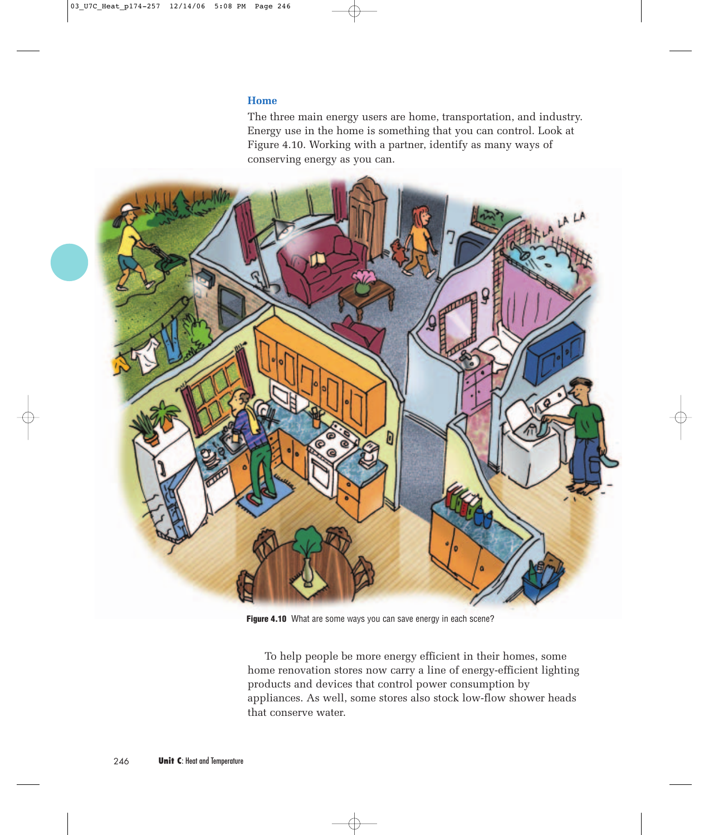### **Home**

The three main energy users are home, transportation, and industry. Energy use in the home is something that you can control. Look at Figure 4.10. Working with a partner, identify as many ways of conserving energy as you can.



Figure 4.10 What are some ways you can save energy in each scene?

To help people be more energy efficient in their homes, some home renovation stores now carry a line of energy-efficient lighting products and devices that control power consumption by appliances. As well, some stores also stock low-flow shower heads that conserve water.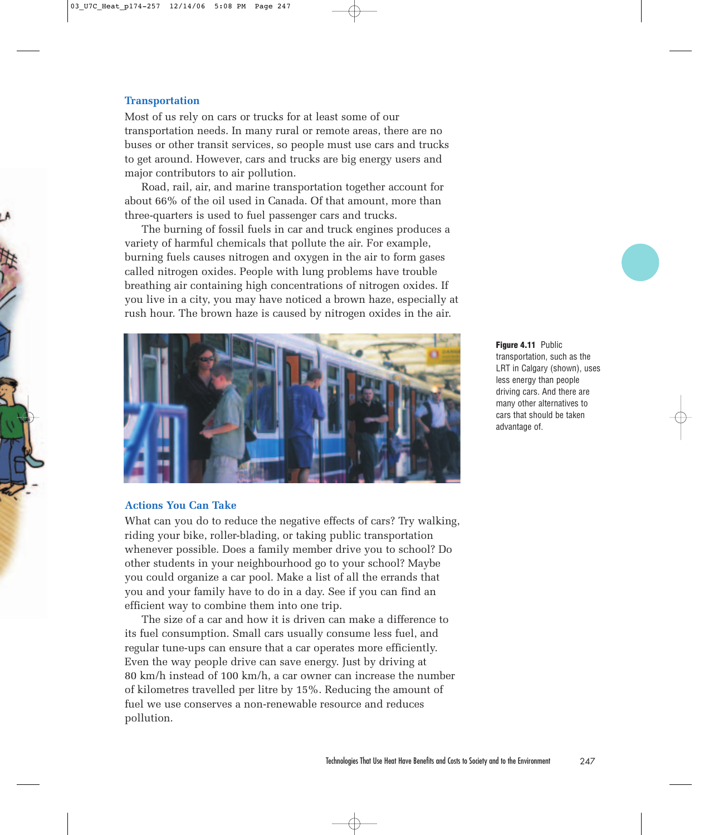### **Transportation**

Most of us rely on cars or trucks for at least some of our transportation needs. In many rural or remote areas, there are no buses or other transit services, so people must use cars and trucks to get around. However, cars and trucks are big energy users and major contributors to air pollution.

Road, rail, air, and marine transportation together account for about 66% of the oil used in Canada. Of that amount, more than three-quarters is used to fuel passenger cars and trucks.

The burning of fossil fuels in car and truck engines produces a variety of harmful chemicals that pollute the air. For example, burning fuels causes nitrogen and oxygen in the air to form gases called nitrogen oxides. People with lung problems have trouble breathing air containing high concentrations of nitrogen oxides. If you live in a city, you may have noticed a brown haze, especially at rush hour. The brown haze is caused by nitrogen oxides in the air.



### **Actions You Can Take**

What can you do to reduce the negative effects of cars? Try walking, riding your bike, roller-blading, or taking public transportation whenever possible. Does a family member drive you to school? Do other students in your neighbourhood go to your school? Maybe you could organize a car pool. Make a list of all the errands that you and your family have to do in a day. See if you can find an efficient way to combine them into one trip.

The size of a car and how it is driven can make a difference to its fuel consumption. Small cars usually consume less fuel, and regular tune-ups can ensure that a car operates more efficiently. Even the way people drive can save energy. Just by driving at 80 km/h instead of 100 km/h, a car owner can increase the number of kilometres travelled per litre by 15%. Reducing the amount of fuel we use conserves a non-renewable resource and reduces pollution.

**Figure 4.11** Public transportation, such as the LRT in Calgary (shown), uses less energy than people driving cars. And there are many other alternatives to cars that should be taken advantage of.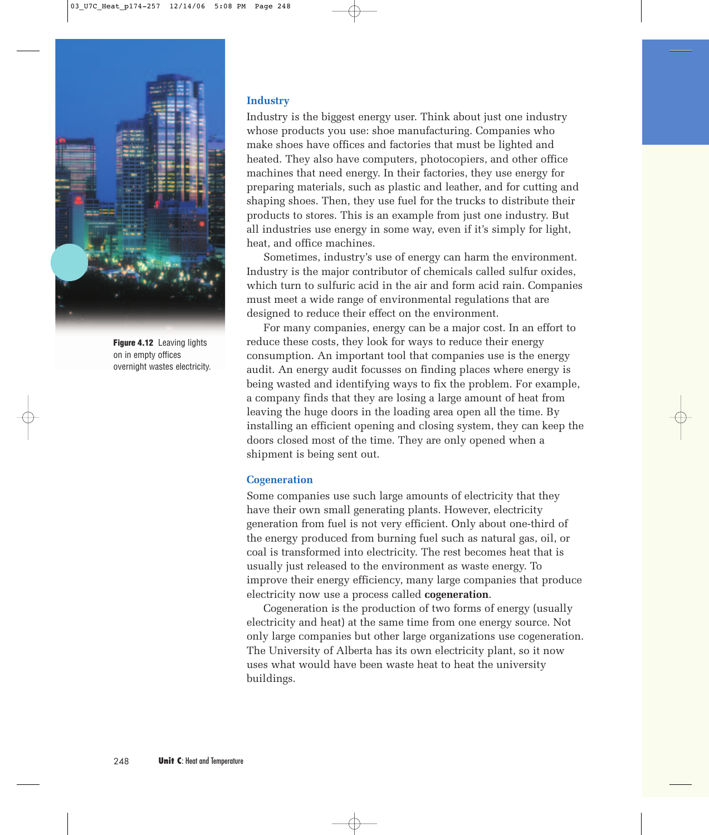

**Figure 4.12** Leaving lights on in empty offices overnight wastes electricity.

### **Industry**

Industry is the biggest energy user. Think about just one industry whose products you use: shoe manufacturing. Companies who make shoes have offices and factories that must be lighted and heated. They also have computers, photocopiers, and other office machines that need energy. In their factories, they use energy for preparing materials, such as plastic and leather, and for cutting and shaping shoes. Then, they use fuel for the trucks to distribute their products to stores. This is an example from just one industry. But all industries use energy in some way, even if it's simply for light, heat, and office machines.

Sometimes, industry's use of energy can harm the environment. Industry is the major contributor of chemicals called sulfur oxides, which turn to sulfuric acid in the air and form acid rain. Companies must meet a wide range of environmental regulations that are designed to reduce their effect on the environment.

For many companies, energy can be a major cost. In an effort to reduce these costs, they look for ways to reduce their energy consumption. An important tool that companies use is the energy audit. An energy audit focusses on finding places where energy is being wasted and identifying ways to fix the problem. For example, a company finds that they are losing a large amount of heat from leaving the huge doors in the loading area open all the time. By installing an efficient opening and closing system, they can keep the doors closed most of the time. They are only opened when a shipment is being sent out.

### **Cogeneration**

Some companies use such large amounts of electricity that they have their own small generating plants. However, electricity generation from fuel is not very efficient. Only about one-third of the energy produced from burning fuel such as natural gas, oil, or coal is transformed into electricity. The rest becomes heat that is usually just released to the environment as waste energy. To improve their energy efficiency, many large companies that produce electricity now use a process called **cogeneration**.

Cogeneration is the production of two forms of energy (usually electricity and heat) at the same time from one energy source. Not only large companies but other large organizations use cogeneration. The University of Alberta has its own electricity plant, so it now uses what would have been waste heat to heat the university buildings.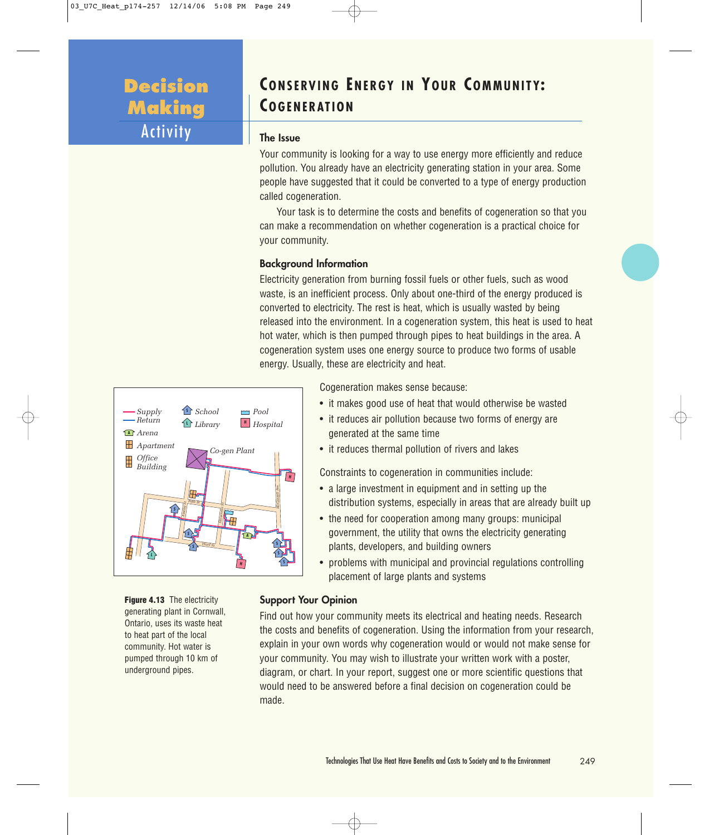# **Decision Making** Activity

# **CONSERVING ENERGY IN YOUR COMMUNITY: COGENERATION**

### **The Issue**

Your community is looking for a way to use energy more efficiently and reduce pollution. You already have an electricity generating station in your area. Some people have suggested that it could be converted to a type of energy production called cogeneration.

Your task is to determine the costs and benefits of cogeneration so that you can make a recommendation on whether cogeneration is a practical choice for your community.

### **Background Information**

Electricity generation from burning fossil fuels or other fuels, such as wood waste, is an inefficient process. Only about one-third of the energy produced is converted to electricity. The rest is heat, which is usually wasted by being released into the environment. In a cogeneration system, this heat is used to heat hot water, which is then pumped through pipes to heat buildings in the area. A cogeneration system uses one energy source to produce two forms of usable energy. Usually, these are electricity and heat.



**Figure 4.13** The electricity generating plant in Cornwall, Ontario, uses its waste heat to heat part of the local community. Hot water is pumped through 10 km of underground pipes.

Cogeneration makes sense because:

- it makes good use of heat that would otherwise be wasted
- it reduces air pollution because two forms of energy are generated at the same time
- it reduces thermal pollution of rivers and lakes

Constraints to cogeneration in communities include:

- a large investment in equipment and in setting up the distribution systems, especially in areas that are already built up
- the need for cooperation among many groups: municipal government, the utility that owns the electricity generating plants, developers, and building owners
- problems with municipal and provincial regulations controlling placement of large plants and systems

### **Support Your Opinion**

Find out how your community meets its electrical and heating needs. Research the costs and benefits of cogeneration. Using the information from your research, explain in your own words why cogeneration would or would not make sense for your community. You may wish to illustrate your written work with a poster, diagram, or chart. In your report, suggest one or more scientific questions that would need to be answered before a final decision on cogeneration could be made.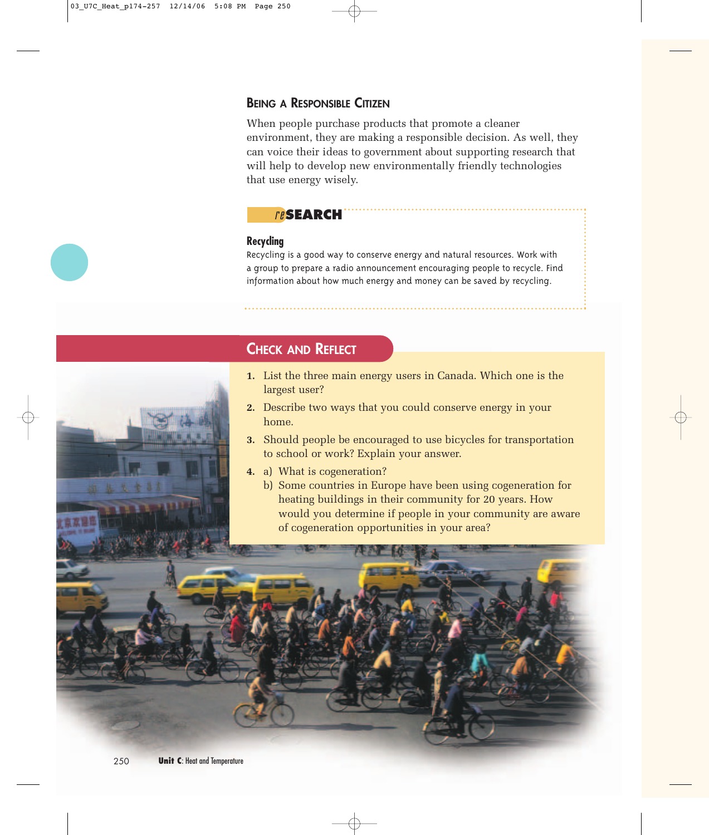### **BEING A RESPONSIBLE CITIZEN**

When people purchase products that promote a cleaner environment, they are making a responsible decision. As well, they can voice their ideas to government about supporting research that will help to develop new environmentally friendly technologies that use energy wisely.

## re**SEARCH**

### **Recycling**

Recycling is a good way to conserve energy and natural resources. Work with a group to prepare a radio announcement encouraging people to recycle. Find information about how much energy and money can be saved by recycling.

# **CHECK AND REFLECT**

- **1.** List the three main energy users in Canada. Which one is the largest user?
- **2.** Describe two ways that you could conserve energy in your home.
- **3.** Should people be encouraged to use bicycles for transportation to school or work? Explain your answer.
- **4.** a) What is cogeneration?
	- b) Some countries in Europe have been using cogeneration for heating buildings in their community for 20 years. How would you determine if people in your community are aware of cogeneration opportunities in your area?

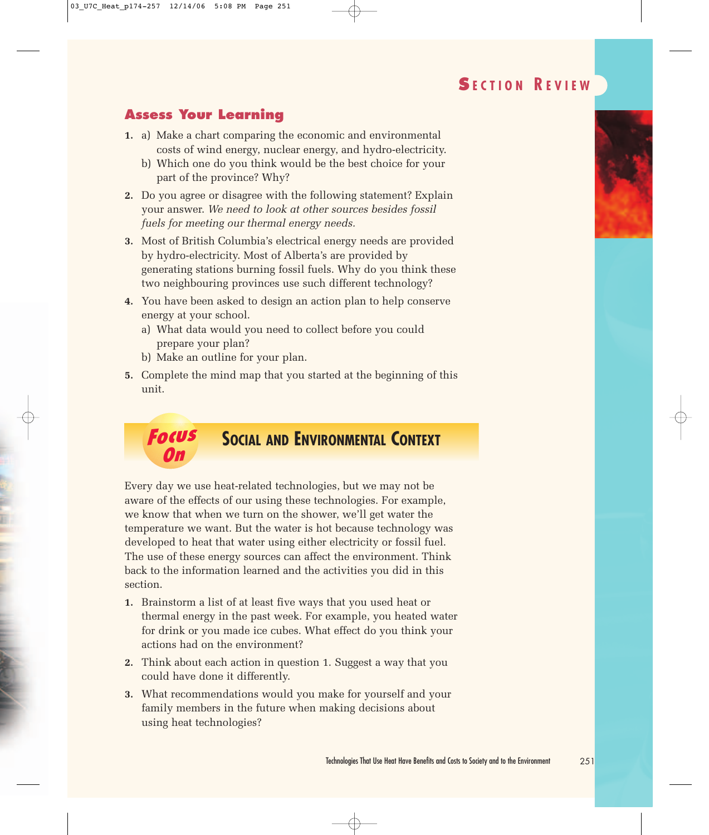# **S ECTION R EVIEW**

# **Assess Your Learning**

- **1.** a) Make a chart comparing the economic and environmental costs of wind energy, nuclear energy, and hydro-electricity.
	- b) Which one do you think would be the best choice for your part of the province? Why?
- **2.** Do you agree or disagree with the following statement? Explain your answer. *We need to look at other sources besides fossil fuels for meeting our thermal energy needs.*
- **3.** Most of British Columbia's electrical energy needs are provided by hydro-electricity. Most of Alberta's are provided by generating stations burning fossil fuels. Why do you think these two neighbouring provinces use such different technology?
- **4.** You have been asked to design an action plan to help conserve energy at your school.
	- a) What data would you need to collect before you could prepare your plan?
	- b) Make an outline for your plan.
- **5.** Complete the mind map that you started at the beginning of this unit.

### **Focus On SOCIAL AND ENVIRONMENTAL CONTEXT**

Every day we use heat-related technologies, but we may not be aware of the effects of our using these technologies. For example, we know that when we turn on the shower, we'll get water the temperature we want. But the water is hot because technology was developed to heat that water using either electricity or fossil fuel. The use of these energy sources can affect the environment. Think back to the information learned and the activities you did in this section.

- **1.** Brainstorm a list of at least five ways that you used heat or thermal energy in the past week. For example, you heated water for drink or you made ice cubes. What effect do you think your actions had on the environment?
- **2.** Think about each action in question 1. Suggest a way that you could have done it differently.
- **3.** What recommendations would you make for yourself and your family members in the future when making decisions about using heat technologies?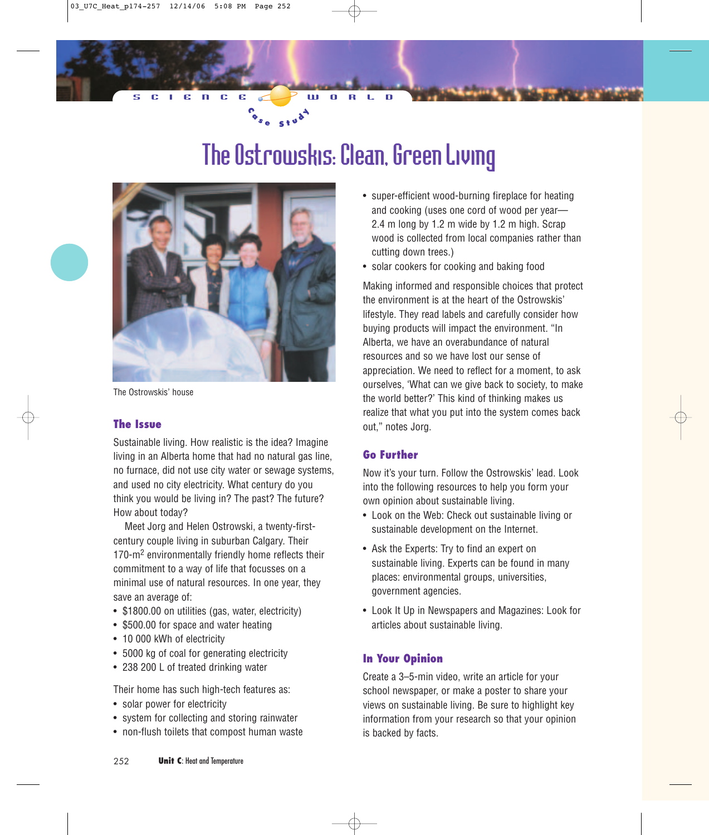# The Ostrowskis: Clean, Green Living

 $C_{s_{e} s_{e} s_{t} u}$ 



The Ostrowskis' house

### **The Issue**

Sustainable living. How realistic is the idea? Imagine living in an Alberta home that had no natural gas line, no furnace, did not use city water or sewage systems, and used no city electricity. What century do you think you would be living in? The past? The future? How about today?

Meet Jorg and Helen Ostrowski, a twenty-firstcentury couple living in suburban Calgary. Their 170-m<sup>2</sup> environmentally friendly home reflects their commitment to a way of life that focusses on a minimal use of natural resources. In one year, they save an average of:

- \$1800.00 on utilities (gas, water, electricity)
- \$500.00 for space and water heating
- 10 000 kWh of electricity
- 5000 kg of coal for generating electricity
- 238 200 L of treated drinking water

Their home has such high-tech features as:

- solar power for electricity
- system for collecting and storing rainwater
- non-flush toilets that compost human waste
- super-efficient wood-burning fireplace for heating and cooking (uses one cord of wood per year— 2.4 m long by 1.2 m wide by 1.2 m high. Scrap wood is collected from local companies rather than cutting down trees.)
- solar cookers for cooking and baking food

Making informed and responsible choices that protect the environment is at the heart of the Ostrowskis' lifestyle. They read labels and carefully consider how buying products will impact the environment. "In Alberta, we have an overabundance of natural resources and so we have lost our sense of appreciation. We need to reflect for a moment, to ask ourselves, 'What can we give back to society, to make the world better?' This kind of thinking makes us realize that what you put into the system comes back out," notes Jorg.

### **Go Further**

Now it's your turn. Follow the Ostrowskis' lead. Look into the following resources to help you form your own opinion about sustainable living.

- Look on the Web: Check out sustainable living or sustainable development on the Internet.
- Ask the Experts: Try to find an expert on sustainable living. Experts can be found in many places: environmental groups, universities, government agencies.
- Look It Up in Newspapers and Magazines: Look for articles about sustainable living.

### **In Your Opinion**

Create a 3–5-min video, write an article for your school newspaper, or make a poster to share your views on sustainable living. Be sure to highlight key information from your research so that your opinion is backed by facts.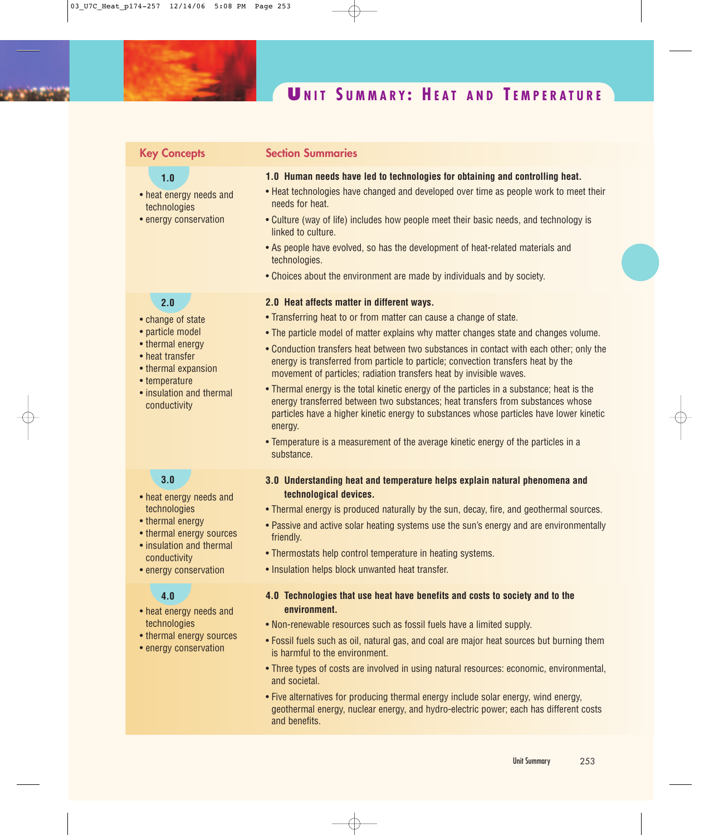# **U NIT S UMMARY : H EAT AND T EMPERATURE**

### **Key Concepts**

### **1.0**

- heat energy needs and technologies
- energy conservation

### **2.0**

- change of state
- particle model
- thermal energy
- heat transfer
- thermal expansion
- temperature
- insulation and thermal conductivity

### **3.0**

- heat energy needs and technologies
- thermal energy
- thermal energy sources
- insulation and thermal conductivity
- energy conservation

### **4.0**

- heat energy needs and technologies
- thermal energy sources
- energy conservation

### **Section Summaries**

- **1.0 Human needs have led to technologies for obtaining and controlling heat.**
- Heat technologies have changed and developed over time as people work to meet their needs for heat.
- Culture (way of life) includes how people meet their basic needs, and technology is linked to culture.
- As people have evolved, so has the development of heat-related materials and technologies.
- Choices about the environment are made by individuals and by society.

### **2.0 Heat affects matter in different ways.**

- Transferring heat to or from matter can cause a change of state.
- The particle model of matter explains why matter changes state and changes volume.
- Conduction transfers heat between two substances in contact with each other; only the energy is transferred from particle to particle; convection transfers heat by the movement of particles; radiation transfers heat by invisible waves.
- Thermal energy is the total kinetic energy of the particles in a substance; heat is the energy transferred between two substances; heat transfers from substances whose particles have a higher kinetic energy to substances whose particles have lower kinetic energy.
- Temperature is a measurement of the average kinetic energy of the particles in a substance.
- **3.0 Understanding heat and temperature helps explain natural phenomena and technological devices.**
- Thermal energy is produced naturally by the sun, decay, fire, and geothermal sources.
- Passive and active solar heating systems use the sun's energy and are environmentally friendly.
- Thermostats help control temperature in heating systems.
- Insulation helps block unwanted heat transfer.

### **4.0 Technologies that use heat have benefits and costs to society and to the environment.**

- Non-renewable resources such as fossil fuels have a limited supply.
- Fossil fuels such as oil, natural gas, and coal are major heat sources but burning them is harmful to the environment.
- Three types of costs are involved in using natural resources: economic, environmental, and societal.
- Five alternatives for producing thermal energy include solar energy, wind energy, geothermal energy, nuclear energy, and hydro-electric power; each has different costs and benefits.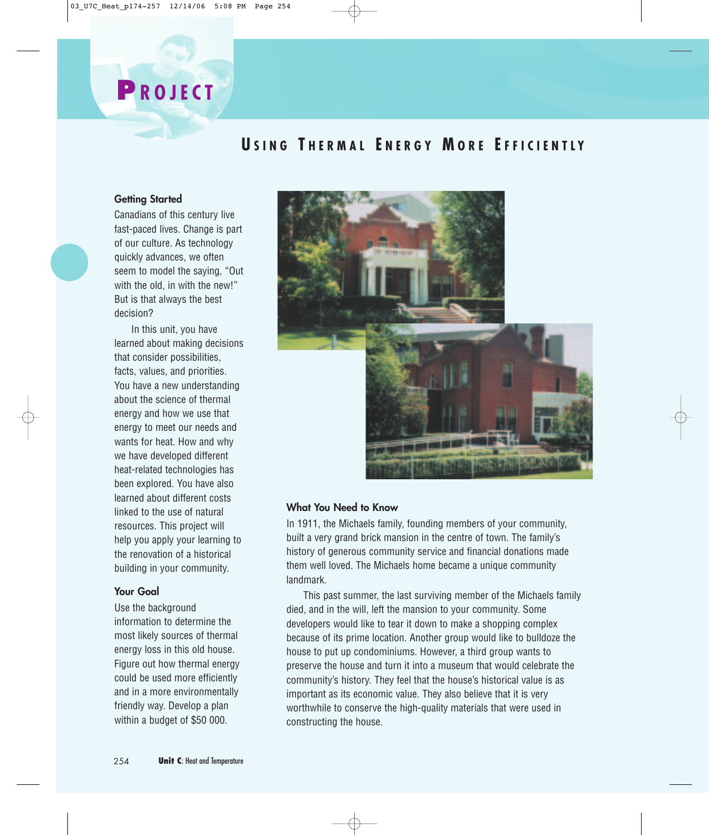# **U SING T HERMAL E NERGY M ORE E FFICIENTLY**

### **Getting Started**

**P ROJECT**

Canadians of this century live fast-paced lives. Change is part of our culture. As technology quickly advances, we often seem to model the saying, "Out with the old, in with the new!" But is that always the best decision?

In this unit, you have learned about making decisions that consider possibilities, facts, values, and priorities. You have a new understanding about the science of thermal energy and how we use that energy to meet our needs and wants for heat. How and why we have developed different heat-related technologies has been explored. You have also learned about different costs linked to the use of natural resources. This project will help you apply your learning to the renovation of a historical building in your community.

### **Your Goal**

Use the background information to determine the most likely sources of thermal energy loss in this old house. Figure out how thermal energy could be used more efficiently and in a more environmentally friendly way. Develop a plan within a budget of \$50 000.



### **What You Need to Know**

In 1911, the Michaels family, founding members of your community, built a very grand brick mansion in the centre of town. The family's history of generous community service and financial donations made them well loved. The Michaels home became a unique community landmark.

This past summer, the last surviving member of the Michaels family died, and in the will, left the mansion to your community. Some developers would like to tear it down to make a shopping complex because of its prime location. Another group would like to bulldoze the house to put up condominiums. However, a third group wants to preserve the house and turn it into a museum that would celebrate the community's history. They feel that the house's historical value is as important as its economic value. They also believe that it is very worthwhile to conserve the high-quality materials that were used in constructing the house.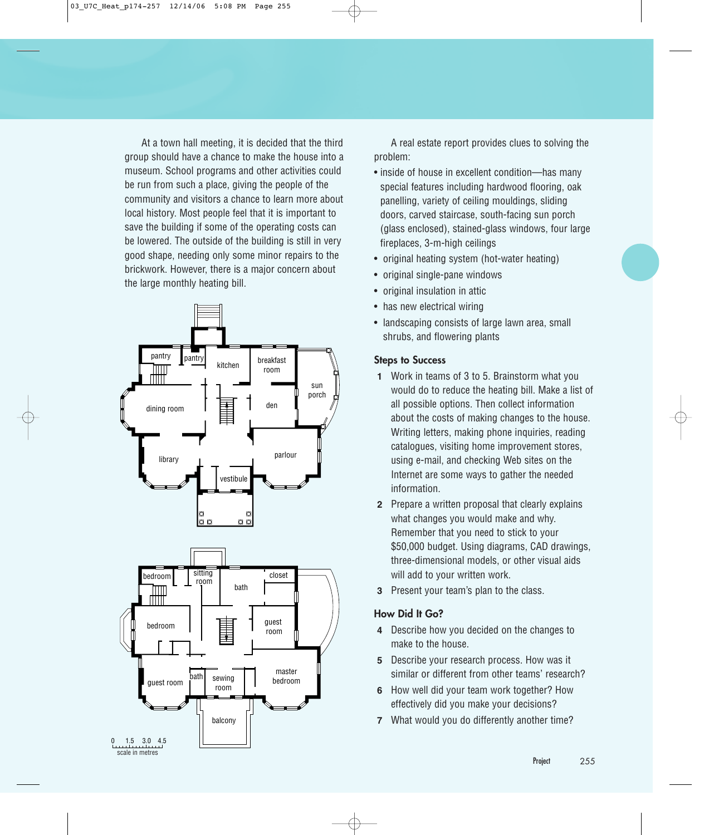At a town hall meeting, it is decided that the third group should have a chance to make the house into a museum. School programs and other activities could be run from such a place, giving the people of the community and visitors a chance to learn more about local history. Most people feel that it is important to save the building if some of the operating costs can be lowered. The outside of the building is still in very good shape, needing only some minor repairs to the brickwork. However, there is a major concern about the large monthly heating bill.



A real estate report provides clues to solving the problem:

- inside of house in excellent condition—has many special features including hardwood flooring, oak panelling, variety of ceiling mouldings, sliding doors, carved staircase, south-facing sun porch (glass enclosed), stained-glass windows, four large fireplaces, 3-m-high ceilings
- original heating system (hot-water heating)
- original single-pane windows
- original insulation in attic
- has new electrical wiring
- landscaping consists of large lawn area, small shrubs, and flowering plants

### **Steps to Success**

- **1** Work in teams of 3 to 5. Brainstorm what you would do to reduce the heating bill. Make a list of all possible options. Then collect information about the costs of making changes to the house. Writing letters, making phone inquiries, reading catalogues, visiting home improvement stores, using e-mail, and checking Web sites on the Internet are some ways to gather the needed information.
- **2** Prepare a written proposal that clearly explains what changes you would make and why. Remember that you need to stick to your \$50,000 budget. Using diagrams, CAD drawings, three-dimensional models, or other visual aids will add to your written work.
- **3** Present your team's plan to the class.

### **How Did It Go?**

- **4** Describe how you decided on the changes to make to the house.
- **5** Describe your research process. How was it similar or different from other teams' research?
- **6** How well did your team work together? How effectively did you make your decisions?
- **7** What would you do differently another time?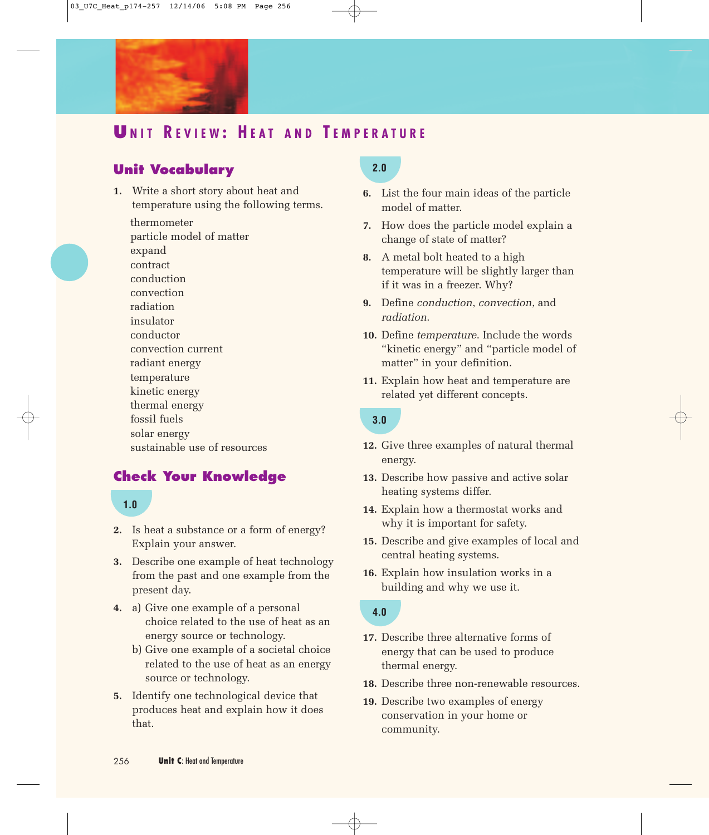

# **U NIT R EVIEW : H EAT AND T EMPERATURE**

# **Unit Vocabulary**

**1.** Write a short story about heat and temperature using the following terms.

thermometer particle model of matter expand contract conduction convection radiation insulator conductor convection current radiant energy temperature kinetic energy thermal energy fossil fuels solar energy sustainable use of resources

## **Check Your Knowledge**

### **1.0**

- **2.** Is heat a substance or a form of energy? Explain your answer.
- **3.** Describe one example of heat technology from the past and one example from the present day.
- **4.** a) Give one example of a personal choice related to the use of heat as an energy source or technology.
	- b) Give one example of a societal choice related to the use of heat as an energy source or technology.
- **5.** Identify one technological device that produces heat and explain how it does that.

# **2.0**

- **6.** List the four main ideas of the particle model of matter.
- **7.** How does the particle model explain a change of state of matter?
- **8.** A metal bolt heated to a high temperature will be slightly larger than if it was in a freezer. Why?
- **9.** Define *conduction*, *convection*, and *radiation*.
- **10.** Define *temperature*. Include the words "kinetic energy" and "particle model of matter" in your definition.
- **11.** Explain how heat and temperature are related yet different concepts.

## **3.0**

- **12.** Give three examples of natural thermal energy.
- **13.** Describe how passive and active solar heating systems differ.
- **14.** Explain how a thermostat works and why it is important for safety.
- **15.** Describe and give examples of local and central heating systems.
- **16.** Explain how insulation works in a building and why we use it.

### **4.0**

- **17.** Describe three alternative forms of energy that can be used to produce thermal energy.
- **18.** Describe three non-renewable resources.
- **19.** Describe two examples of energy conservation in your home or community.